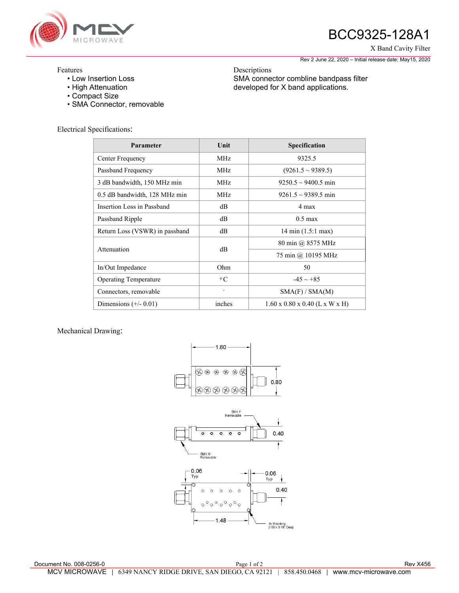

# BCC9325-128A1

X Band Cavity Filter

Rev 2 June 22, 2020 – Initial release date: May15, 2020

## Features

- Low Insertion Loss
- High Attenuation
- Compact Size
- SMA Connector, removable

Electrical Specifications:

| Parameter                      | Unit        | Specification                              |
|--------------------------------|-------------|--------------------------------------------|
| Center Frequency               | MHz         | 9325.5                                     |
| Passband Frequency             | MHz         | $(9261.5 \sim 9389.5)$                     |
| 3 dB bandwidth, 150 MHz min    | MHz.        | $9250.5 \sim 9400.5$ min                   |
| 0.5 dB bandwidth, 128 MHz min  | MHz         | $9261.5 \sim 9389.5$ min                   |
| Insertion Loss in Passband     | dВ          | 4 max                                      |
| Passband Ripple                | $\text{dB}$ | $0.5 \text{ max}$                          |
| Return Loss (VSWR) in passband | $\text{dB}$ | $14 \text{ min } (1.5:1 \text{ max})$      |
| Attenuation                    | $\text{dB}$ | 80 min @ 8575 MHz                          |
|                                |             | 75 min @ 10195 MHz                         |
| In/Out Impedance               | Ohm         | 50                                         |
| <b>Operating Temperature</b>   | $\rm ^{o}C$ | $-45 \sim +85$                             |
| Connectors, removable          |             | SMA(F) / SMA(M)                            |
| Dimensions $(+/- 0.01)$        | inches      | $1.60 \times 0.80 \times 0.40$ (L x W x H) |

#### Mechanical Drawing:



Descriptions SMA connector combline bandpass filter developed for X band applications.